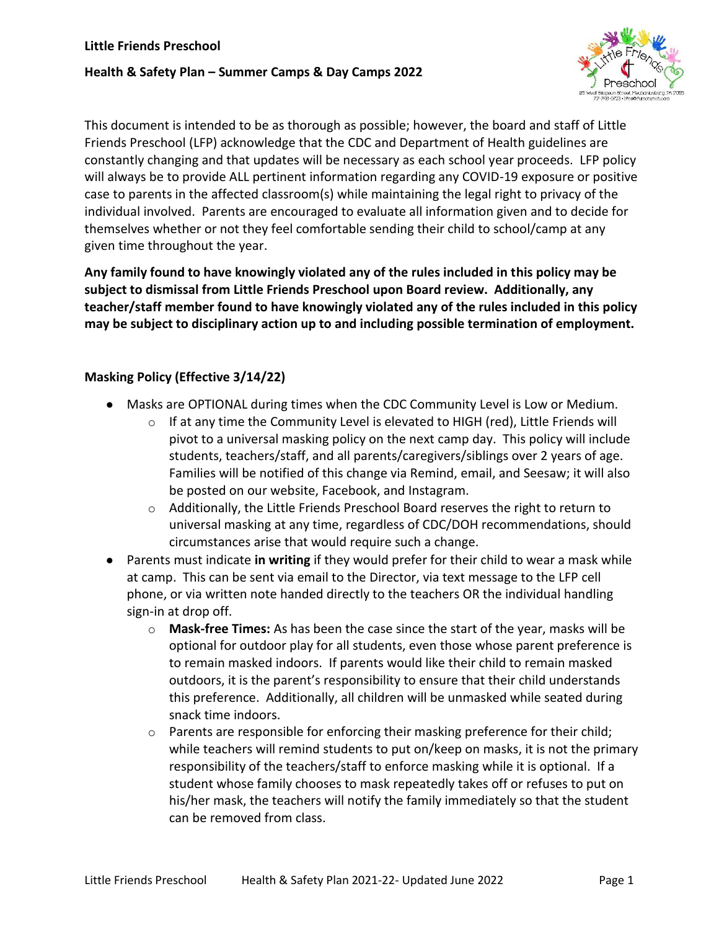#### **Health & Safety Plan – Summer Camps & Day Camps 2022**



This document is intended to be as thorough as possible; however, the board and staff of Little Friends Preschool (LFP) acknowledge that the CDC and Department of Health guidelines are constantly changing and that updates will be necessary as each school year proceeds. LFP policy will always be to provide ALL pertinent information regarding any COVID-19 exposure or positive case to parents in the affected classroom(s) while maintaining the legal right to privacy of the individual involved. Parents are encouraged to evaluate all information given and to decide for themselves whether or not they feel comfortable sending their child to school/camp at any given time throughout the year.

**Any family found to have knowingly violated any of the rules included in this policy may be subject to dismissal from Little Friends Preschool upon Board review. Additionally, any teacher/staff member found to have knowingly violated any of the rules included in this policy may be subject to disciplinary action up to and including possible termination of employment.** 

### **Masking Policy (Effective 3/14/22)**

- Masks are OPTIONAL during times when the CDC Community Level is Low or Medium.
	- $\circ$  If at any time the Community Level is elevated to HIGH (red), Little Friends will pivot to a universal masking policy on the next camp day. This policy will include students, teachers/staff, and all parents/caregivers/siblings over 2 years of age. Families will be notified of this change via Remind, email, and Seesaw; it will also be posted on our website, Facebook, and Instagram.
	- $\circ$  Additionally, the Little Friends Preschool Board reserves the right to return to universal masking at any time, regardless of CDC/DOH recommendations, should circumstances arise that would require such a change.
- Parents must indicate **in writing** if they would prefer for their child to wear a mask while at camp. This can be sent via email to the Director, via text message to the LFP cell phone, or via written note handed directly to the teachers OR the individual handling sign-in at drop off.
	- o **Mask-free Times:** As has been the case since the start of the year, masks will be optional for outdoor play for all students, even those whose parent preference is to remain masked indoors. If parents would like their child to remain masked outdoors, it is the parent's responsibility to ensure that their child understands this preference. Additionally, all children will be unmasked while seated during snack time indoors.
	- $\circ$  Parents are responsible for enforcing their masking preference for their child; while teachers will remind students to put on/keep on masks, it is not the primary responsibility of the teachers/staff to enforce masking while it is optional. If a student whose family chooses to mask repeatedly takes off or refuses to put on his/her mask, the teachers will notify the family immediately so that the student can be removed from class.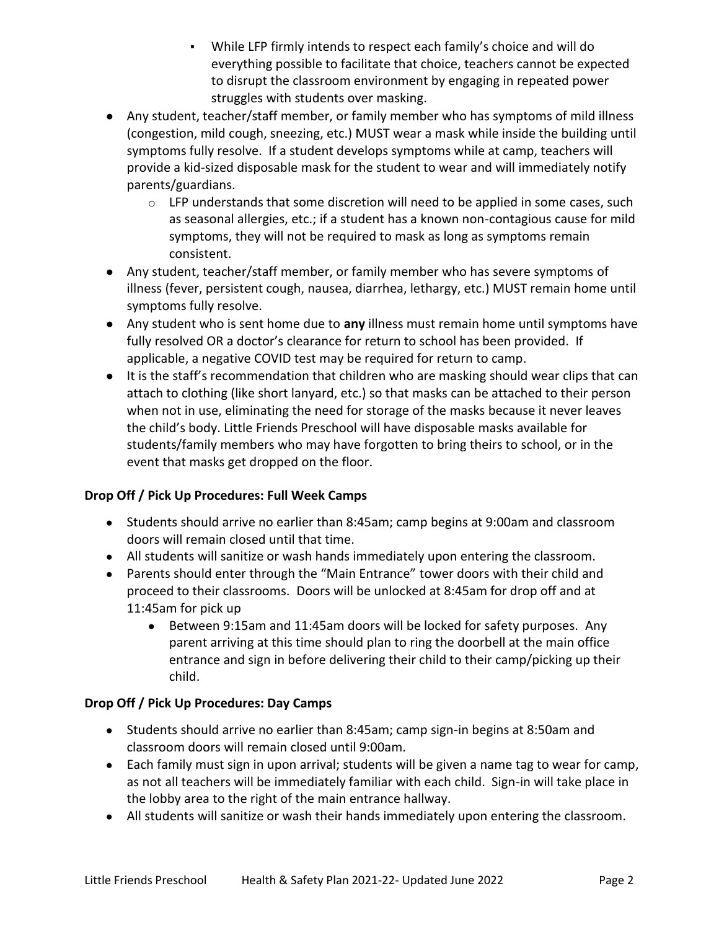- While LFP firmly intends to respect each family's choice and will do everything possible to facilitate that choice, teachers cannot be expected to disrupt the classroom environment by engaging in repeated power struggles with students over masking.
- Any student, teacher/staff member, or family member who has symptoms of mild illness (congestion, mild cough, sneezing, etc.) MUST wear a mask while inside the building until symptoms fully resolve. If a student develops symptoms while at camp, teachers will provide a kid-sized disposable mask for the student to wear and will immediately notify parents/guardians.
	- $\circ$  LFP understands that some discretion will need to be applied in some cases, such as seasonal allergies, etc.; if a student has a known non-contagious cause for mild symptoms, they will not be required to mask as long as symptoms remain consistent.
- Any student, teacher/staff member, or family member who has severe symptoms of illness (fever, persistent cough, nausea, diarrhea, lethargy, etc.) MUST remain home until symptoms fully resolve.
- Any student who is sent home due to **any** illness must remain home until symptoms have fully resolved OR a doctor's clearance for return to school has been provided. If applicable, a negative COVID test may be required for return to camp.
- It is the staff's recommendation that children who are masking should wear clips that can attach to clothing (like short lanyard, etc.) so that masks can be attached to their person when not in use, eliminating the need for storage of the masks because it never leaves the child's body. Little Friends Preschool will have disposable masks available for students/family members who may have forgotten to bring theirs to school, or in the event that masks get dropped on the floor.

### **Drop Off / Pick Up Procedures: Full Week Camps**

- Students should arrive no earlier than 8:45am; camp begins at 9:00am and classroom doors will remain closed until that time.
- All students will sanitize or wash hands immediately upon entering the classroom.
- Parents should enter through the "Main Entrance" tower doors with their child and proceed to their classrooms. Doors will be unlocked at 8:45am for drop off and at 11:45am for pick up
	- Between 9:15am and 11:45am doors will be locked for safety purposes. Any parent arriving at this time should plan to ring the doorbell at the main office entrance and sign in before delivering their child to their camp/picking up their child.

## **Drop Off / Pick Up Procedures: Day Camps**

- Students should arrive no earlier than 8:45am; camp sign-in begins at 8:50am and classroom doors will remain closed until 9:00am.
- Each family must sign in upon arrival; students will be given a name tag to wear for camp, as not all teachers will be immediately familiar with each child. Sign-in will take place in the lobby area to the right of the main entrance hallway.
- All students will sanitize or wash their hands immediately upon entering the classroom.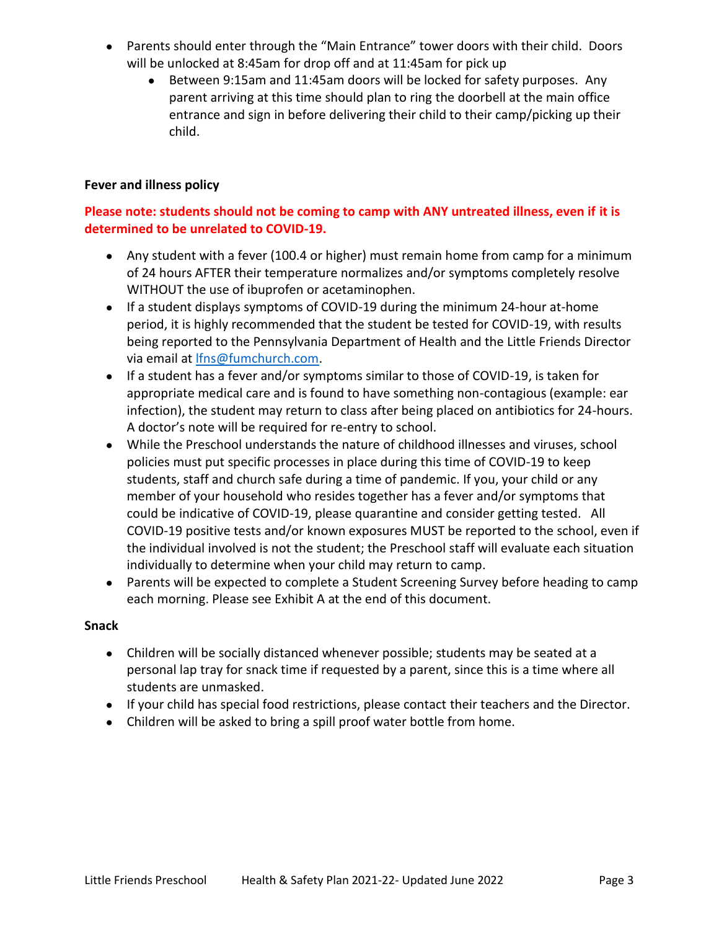- Parents should enter through the "Main Entrance" tower doors with their child. Doors will be unlocked at 8:45am for drop off and at 11:45am for pick up
	- Between 9:15am and 11:45am doors will be locked for safety purposes. Any parent arriving at this time should plan to ring the doorbell at the main office entrance and sign in before delivering their child to their camp/picking up their child.

#### **Fever and illness policy**

## **Please note: students should not be coming to camp with ANY untreated illness, even if it is determined to be unrelated to COVID-19.**

- Any student with a fever (100.4 or higher) must remain home from camp for a minimum of 24 hours AFTER their temperature normalizes and/or symptoms completely resolve WITHOUT the use of ibuprofen or acetaminophen.
- If a student displays symptoms of COVID-19 during the minimum 24-hour at-home period, it is highly recommended that the student be tested for COVID-19, with results being reported to the Pennsylvania Department of Health and the Little Friends Director via email at [lfns@fumchurch.com.](mailto:lfns@fumchurch.com)
- If a student has a fever and/or symptoms similar to those of COVID-19, is taken for appropriate medical care and is found to have something non-contagious (example: ear infection), the student may return to class after being placed on antibiotics for 24-hours. A doctor's note will be required for re-entry to school.
- While the Preschool understands the nature of childhood illnesses and viruses, school policies must put specific processes in place during this time of COVID-19 to keep students, staff and church safe during a time of pandemic. If you, your child or any member of your household who resides together has a fever and/or symptoms that could be indicative of COVID-19, please quarantine and consider getting tested. All COVID-19 positive tests and/or known exposures MUST be reported to the school, even if the individual involved is not the student; the Preschool staff will evaluate each situation individually to determine when your child may return to camp.
- Parents will be expected to complete a Student Screening Survey before heading to camp each morning. Please see Exhibit A at the end of this document.

#### **Snack**

- Children will be socially distanced whenever possible; students may be seated at a personal lap tray for snack time if requested by a parent, since this is a time where all students are unmasked.
- If your child has special food restrictions, please contact their teachers and the Director.
- Children will be asked to bring a spill proof water bottle from home.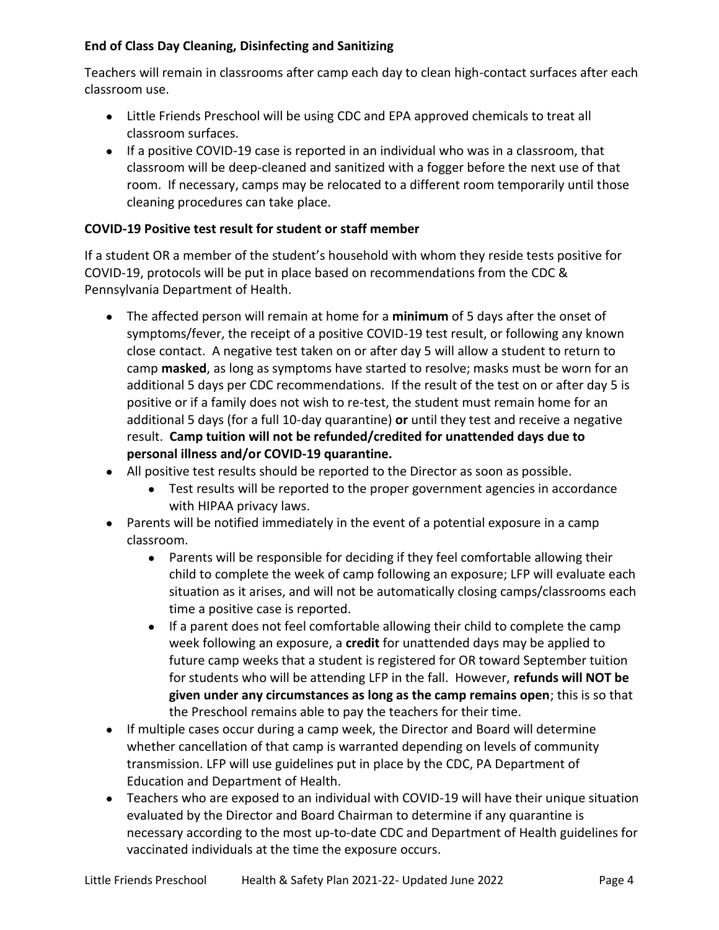## **End of Class Day Cleaning, Disinfecting and Sanitizing**

Teachers will remain in classrooms after camp each day to clean high-contact surfaces after each classroom use.

- Little Friends Preschool will be using CDC and EPA approved chemicals to treat all classroom surfaces.
- If a positive COVID-19 case is reported in an individual who was in a classroom, that classroom will be deep-cleaned and sanitized with a fogger before the next use of that room. If necessary, camps may be relocated to a different room temporarily until those cleaning procedures can take place.

## **COVID-19 Positive test result for student or staff member**

If a student OR a member of the student's household with whom they reside tests positive for COVID-19, protocols will be put in place based on recommendations from the CDC & Pennsylvania Department of Health.

- The affected person will remain at home for a **minimum** of 5 days after the onset of symptoms/fever, the receipt of a positive COVID-19 test result, or following any known close contact. A negative test taken on or after day 5 will allow a student to return to camp **masked**, as long as symptoms have started to resolve; masks must be worn for an additional 5 days per CDC recommendations. If the result of the test on or after day 5 is positive or if a family does not wish to re-test, the student must remain home for an additional 5 days (for a full 10-day quarantine) **or** until they test and receive a negative result. **Camp tuition will not be refunded/credited for unattended days due to personal illness and/or COVID-19 quarantine.**
- All positive test results should be reported to the Director as soon as possible.
	- Test results will be reported to the proper government agencies in accordance with HIPAA privacy laws.
- Parents will be notified immediately in the event of a potential exposure in a camp classroom.
	- Parents will be responsible for deciding if they feel comfortable allowing their child to complete the week of camp following an exposure; LFP will evaluate each situation as it arises, and will not be automatically closing camps/classrooms each time a positive case is reported.
	- If a parent does not feel comfortable allowing their child to complete the camp week following an exposure, a **credit** for unattended days may be applied to future camp weeks that a student is registered for OR toward September tuition for students who will be attending LFP in the fall. However, **refunds will NOT be given under any circumstances as long as the camp remains open**; this is so that the Preschool remains able to pay the teachers for their time.
- If multiple cases occur during a camp week, the Director and Board will determine whether cancellation of that camp is warranted depending on levels of community transmission. LFP will use guidelines put in place by the CDC, PA Department of Education and Department of Health.
- Teachers who are exposed to an individual with COVID-19 will have their unique situation evaluated by the Director and Board Chairman to determine if any quarantine is necessary according to the most up-to-date CDC and Department of Health guidelines for vaccinated individuals at the time the exposure occurs.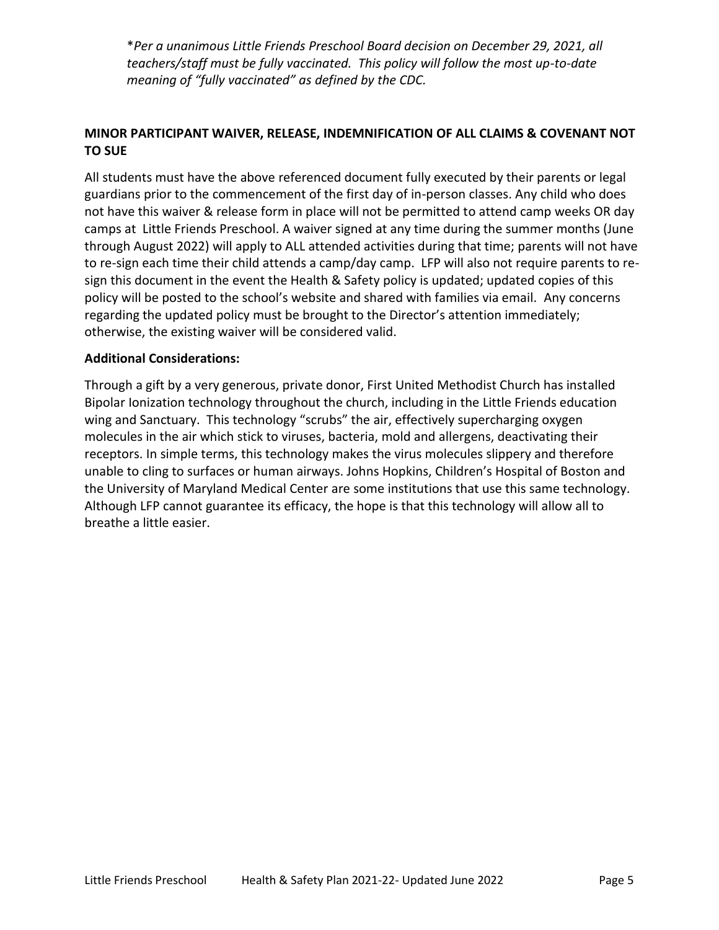\**Per a unanimous Little Friends Preschool Board decision on December 29, 2021, all teachers/staff must be fully vaccinated. This policy will follow the most up-to-date meaning of "fully vaccinated" as defined by the CDC.*

#### **MINOR PARTICIPANT WAIVER, RELEASE, INDEMNIFICATION OF ALL CLAIMS & COVENANT NOT TO SUE**

All students must have the above referenced document fully executed by their parents or legal guardians prior to the commencement of the first day of in-person classes. Any child who does not have this waiver & release form in place will not be permitted to attend camp weeks OR day camps at Little Friends Preschool. A waiver signed at any time during the summer months (June through August 2022) will apply to ALL attended activities during that time; parents will not have to re-sign each time their child attends a camp/day camp. LFP will also not require parents to resign this document in the event the Health & Safety policy is updated; updated copies of this policy will be posted to the school's website and shared with families via email. Any concerns regarding the updated policy must be brought to the Director's attention immediately; otherwise, the existing waiver will be considered valid.

#### **Additional Considerations:**

Through a gift by a very generous, private donor, First United Methodist Church has installed Bipolar Ionization technology throughout the church, including in the Little Friends education wing and Sanctuary. This technology "scrubs" the air, effectively supercharging oxygen molecules in the air which stick to viruses, bacteria, mold and allergens, deactivating their receptors. In simple terms, this technology makes the virus molecules slippery and therefore unable to cling to surfaces or human airways. Johns Hopkins, Children's Hospital of Boston and the University of Maryland Medical Center are some institutions that use this same technology. Although LFP cannot guarantee its efficacy, the hope is that this technology will allow all to breathe a little easier.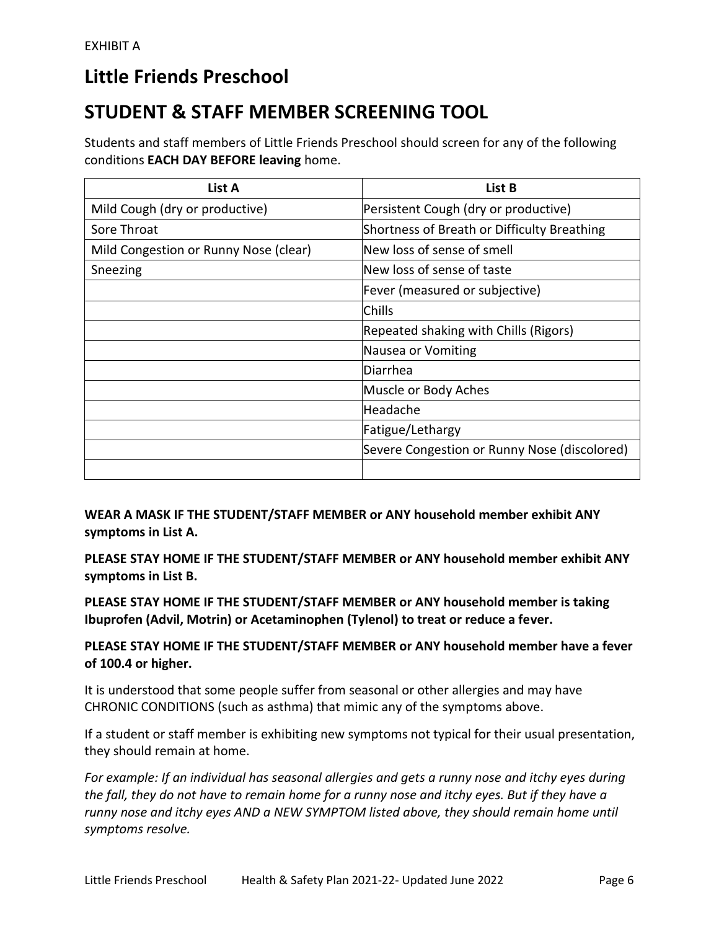## **Little Friends Preschool**

# **STUDENT & STAFF MEMBER SCREENING TOOL**

Students and staff members of Little Friends Preschool should screen for any of the following conditions **EACH DAY BEFORE leaving** home.

| List A                                | List B                                       |
|---------------------------------------|----------------------------------------------|
| Mild Cough (dry or productive)        | Persistent Cough (dry or productive)         |
| Sore Throat                           | Shortness of Breath or Difficulty Breathing  |
| Mild Congestion or Runny Nose (clear) | New loss of sense of smell                   |
| Sneezing                              | New loss of sense of taste                   |
|                                       | Fever (measured or subjective)               |
|                                       | <b>Chills</b>                                |
|                                       | Repeated shaking with Chills (Rigors)        |
|                                       | Nausea or Vomiting                           |
|                                       | Diarrhea                                     |
|                                       | Muscle or Body Aches                         |
|                                       | Headache                                     |
|                                       | Fatigue/Lethargy                             |
|                                       | Severe Congestion or Runny Nose (discolored) |
|                                       |                                              |

**WEAR A MASK IF THE STUDENT/STAFF MEMBER or ANY household member exhibit ANY symptoms in List A.**

**PLEASE STAY HOME IF THE STUDENT/STAFF MEMBER or ANY household member exhibit ANY symptoms in List B.**

**PLEASE STAY HOME IF THE STUDENT/STAFF MEMBER or ANY household member is taking Ibuprofen (Advil, Motrin) or Acetaminophen (Tylenol) to treat or reduce a fever.**

**PLEASE STAY HOME IF THE STUDENT/STAFF MEMBER or ANY household member have a fever of 100.4 or higher.**

It is understood that some people suffer from seasonal or other allergies and may have CHRONIC CONDITIONS (such as asthma) that mimic any of the symptoms above.

If a student or staff member is exhibiting new symptoms not typical for their usual presentation, they should remain at home.

*For example: If an individual has seasonal allergies and gets a runny nose and itchy eyes during the fall, they do not have to remain home for a runny nose and itchy eyes. But if they have a runny nose and itchy eyes AND a NEW SYMPTOM listed above, they should remain home until symptoms resolve.*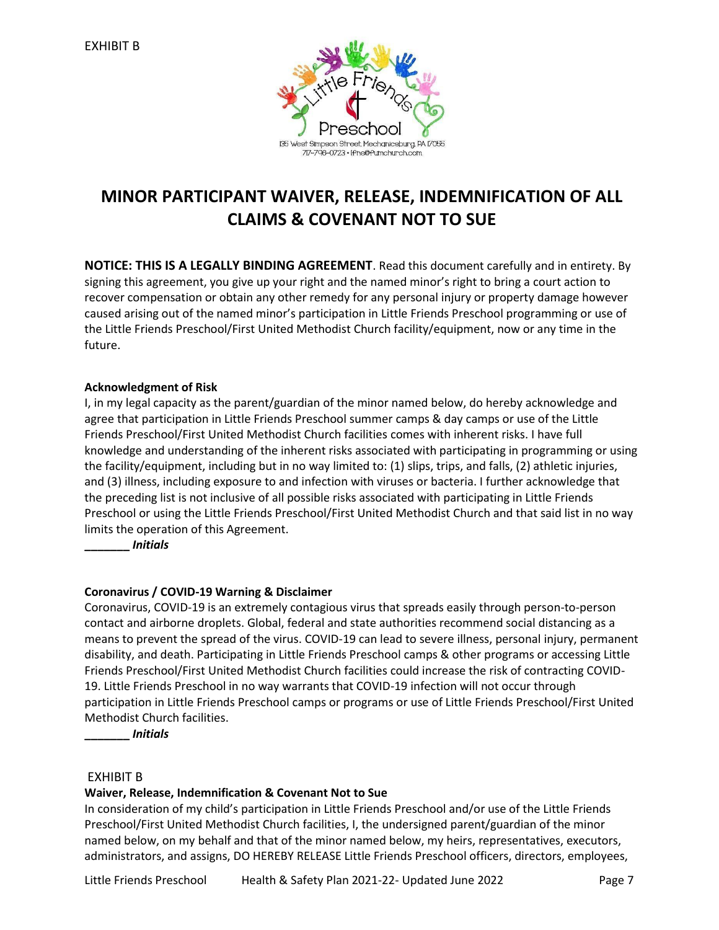

## **MINOR PARTICIPANT WAIVER, RELEASE, INDEMNIFICATION OF ALL CLAIMS & COVENANT NOT TO SUE**

**NOTICE: THIS IS A LEGALLY BINDING AGREEMENT**. Read this document carefully and in entirety. By signing this agreement, you give up your right and the named minor's right to bring a court action to recover compensation or obtain any other remedy for any personal injury or property damage however caused arising out of the named minor's participation in Little Friends Preschool programming or use of the Little Friends Preschool/First United Methodist Church facility/equipment, now or any time in the future.

#### **Acknowledgment of Risk**

I, in my legal capacity as the parent/guardian of the minor named below, do hereby acknowledge and agree that participation in Little Friends Preschool summer camps & day camps or use of the Little Friends Preschool/First United Methodist Church facilities comes with inherent risks. I have full knowledge and understanding of the inherent risks associated with participating in programming or using the facility/equipment, including but in no way limited to: (1) slips, trips, and falls, (2) athletic injuries, and (3) illness, including exposure to and infection with viruses or bacteria. I further acknowledge that the preceding list is not inclusive of all possible risks associated with participating in Little Friends Preschool or using the Little Friends Preschool/First United Methodist Church and that said list in no way limits the operation of this Agreement.

**\_\_\_\_\_\_\_** *Initials*

#### **Coronavirus / COVID-19 Warning & Disclaimer**

Coronavirus, COVID-19 is an extremely contagious virus that spreads easily through person-to-person contact and airborne droplets. Global, federal and state authorities recommend social distancing as a means to prevent the spread of the virus. COVID-19 can lead to severe illness, personal injury, permanent disability, and death. Participating in Little Friends Preschool camps & other programs or accessing Little Friends Preschool/First United Methodist Church facilities could increase the risk of contracting COVID-19. Little Friends Preschool in no way warrants that COVID-19 infection will not occur through participation in Little Friends Preschool camps or programs or use of Little Friends Preschool/First United Methodist Church facilities.

**\_\_\_\_\_\_\_** *Initials*

#### EXHIBIT B

#### **Waiver, Release, Indemnification & Covenant Not to Sue**

In consideration of my child's participation in Little Friends Preschool and/or use of the Little Friends Preschool/First United Methodist Church facilities, I, the undersigned parent/guardian of the minor named below, on my behalf and that of the minor named below, my heirs, representatives, executors, administrators, and assigns, DO HEREBY RELEASE Little Friends Preschool officers, directors, employees,